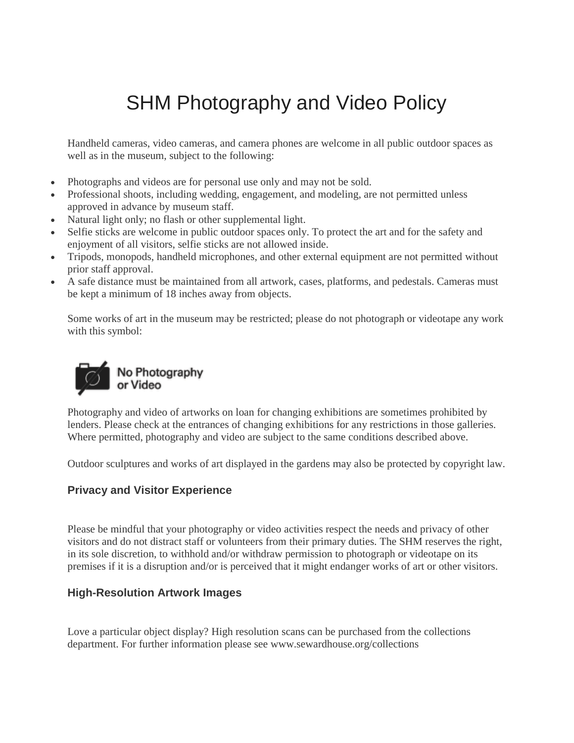# SHM Photography and Video Policy

Handheld cameras, video cameras, and camera phones are welcome in all public outdoor spaces as well as in the museum, subject to the following:

- Photographs and videos are for personal use only and may not be sold.
- Professional shoots, including wedding, engagement, and modeling, are not permitted unless approved in advance by museum staff.
- Natural light only; no flash or other supplemental light.
- Selfie sticks are welcome in public outdoor spaces only. To protect the art and for the safety and enjoyment of all visitors, selfie sticks are not allowed inside.
- Tripods, monopods, handheld microphones, and other external equipment are not permitted without prior staff approval.
- A safe distance must be maintained from all artwork, cases, platforms, and pedestals. Cameras must be kept a minimum of 18 inches away from objects.

Some works of art in the museum may be restricted; please do not photograph or videotape any work with this symbol:



Photography and video of artworks on loan for changing exhibitions are sometimes prohibited by lenders. Please check at the entrances of changing exhibitions for any restrictions in those galleries. Where permitted, photography and video are subject to the same conditions described above.

Outdoor sculptures and works of art displayed in the gardens may also be protected by copyright law.

# **Privacy and Visitor Experience**

Please be mindful that your photography or video activities respect the needs and privacy of other visitors and do not distract staff or volunteers from their primary duties. The SHM reserves the right, in its sole discretion, to withhold and/or withdraw permission to photograph or videotape on its premises if it is a disruption and/or is perceived that it might endanger works of art or other visitors.

# **High-Resolution Artwork Images**

Love a particular object display? High resolution scans can be purchased from the collections department. For further information please see www.sewardhouse.org/collections